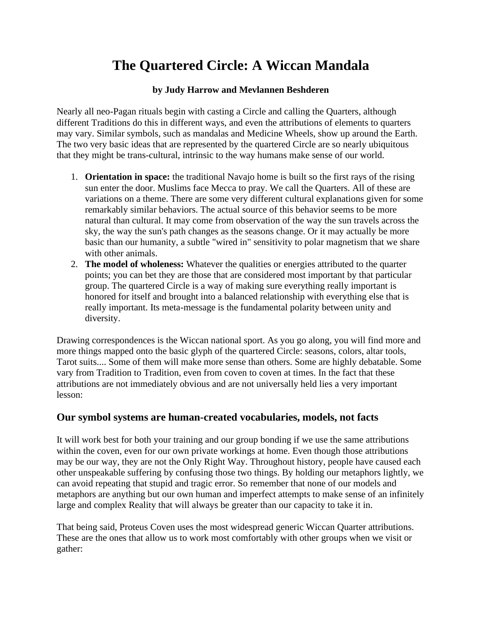## **The Quartered Circle: A Wiccan Mandala**

## **by Judy Harrow and Mevlannen Beshderen**

Nearly all neo-Pagan rituals begin with casting a Circle and calling the Quarters, although different Traditions do this in different ways, and even the attributions of elements to quarters may vary. Similar symbols, such as mandalas and Medicine Wheels, show up around the Earth. The two very basic ideas that are represented by the quartered Circle are so nearly ubiquitous that they might be trans-cultural, intrinsic to the way humans make sense of our world.

- 1. **Orientation in space:** the traditional Navajo home is built so the first rays of the rising sun enter the door. Muslims face Mecca to pray. We call the Quarters. All of these are variations on a theme. There are some very different cultural explanations given for some remarkably similar behaviors. The actual source of this behavior seems to be more natural than cultural. It may come from observation of the way the sun travels across the sky, the way the sun's path changes as the seasons change. Or it may actually be more basic than our humanity, a subtle "wired in" sensitivity to polar magnetism that we share with other animals.
- 2. **The model of wholeness:** Whatever the qualities or energies attributed to the quarter points; you can bet they are those that are considered most important by that particular group. The quartered Circle is a way of making sure everything really important is honored for itself and brought into a balanced relationship with everything else that is really important. Its meta-message is the fundamental polarity between unity and diversity.

Drawing correspondences is the Wiccan national sport. As you go along, you will find more and more things mapped onto the basic glyph of the quartered Circle: seasons, colors, altar tools, Tarot suits.... Some of them will make more sense than others. Some are highly debatable. Some vary from Tradition to Tradition, even from coven to coven at times. In the fact that these attributions are not immediately obvious and are not universally held lies a very important lesson:

## **Our symbol systems are human-created vocabularies, models, not facts**

It will work best for both your training and our group bonding if we use the same attributions within the coven, even for our own private workings at home. Even though those attributions may be our way, they are not the Only Right Way. Throughout history, people have caused each other unspeakable suffering by confusing those two things. By holding our metaphors lightly, we can avoid repeating that stupid and tragic error. So remember that none of our models and metaphors are anything but our own human and imperfect attempts to make sense of an infinitely large and complex Reality that will always be greater than our capacity to take it in.

That being said, Proteus Coven uses the most widespread generic Wiccan Quarter attributions. These are the ones that allow us to work most comfortably with other groups when we visit or gather: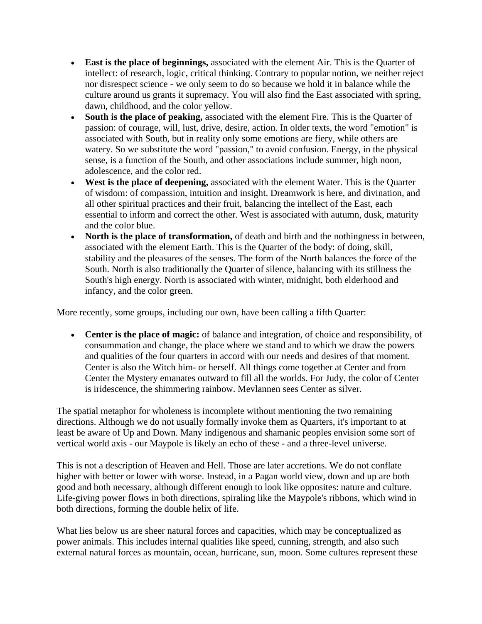- **East is the place of beginnings,** associated with the element Air. This is the Quarter of intellect: of research, logic, critical thinking. Contrary to popular notion, we neither reject nor disrespect science - we only seem to do so because we hold it in balance while the culture around us grants it supremacy. You will also find the East associated with spring, dawn, childhood, and the color yellow.
- **South is the place of peaking,** associated with the element Fire. This is the Quarter of passion: of courage, will, lust, drive, desire, action. In older texts, the word "emotion" is associated with South, but in reality only some emotions are fiery, while others are watery. So we substitute the word "passion," to avoid confusion. Energy, in the physical sense, is a function of the South, and other associations include summer, high noon, adolescence, and the color red.
- **West is the place of deepening,** associated with the element Water. This is the Quarter of wisdom: of compassion, intuition and insight. Dreamwork is here, and divination, and all other spiritual practices and their fruit, balancing the intellect of the East, each essential to inform and correct the other. West is associated with autumn, dusk, maturity and the color blue.
- **North is the place of transformation,** of death and birth and the nothingness in between, associated with the element Earth. This is the Quarter of the body: of doing, skill, stability and the pleasures of the senses. The form of the North balances the force of the South. North is also traditionally the Quarter of silence, balancing with its stillness the South's high energy. North is associated with winter, midnight, both elderhood and infancy, and the color green.

More recently, some groups, including our own, have been calling a fifth Quarter:

• **Center is the place of magic:** of balance and integration, of choice and responsibility, of consummation and change, the place where we stand and to which we draw the powers and qualities of the four quarters in accord with our needs and desires of that moment. Center is also the Witch him- or herself. All things come together at Center and from Center the Mystery emanates outward to fill all the worlds. For Judy, the color of Center is iridescence, the shimmering rainbow. Mevlannen sees Center as silver.

The spatial metaphor for wholeness is incomplete without mentioning the two remaining directions. Although we do not usually formally invoke them as Quarters, it's important to at least be aware of Up and Down. Many indigenous and shamanic peoples envision some sort of vertical world axis - our Maypole is likely an echo of these - and a three-level universe.

This is not a description of Heaven and Hell. Those are later accretions. We do not conflate higher with better or lower with worse. Instead, in a Pagan world view, down and up are both good and both necessary, although different enough to look like opposites: nature and culture. Life-giving power flows in both directions, spiraling like the Maypole's ribbons, which wind in both directions, forming the double helix of life.

What lies below us are sheer natural forces and capacities, which may be conceptualized as power animals. This includes internal qualities like speed, cunning, strength, and also such external natural forces as mountain, ocean, hurricane, sun, moon. Some cultures represent these